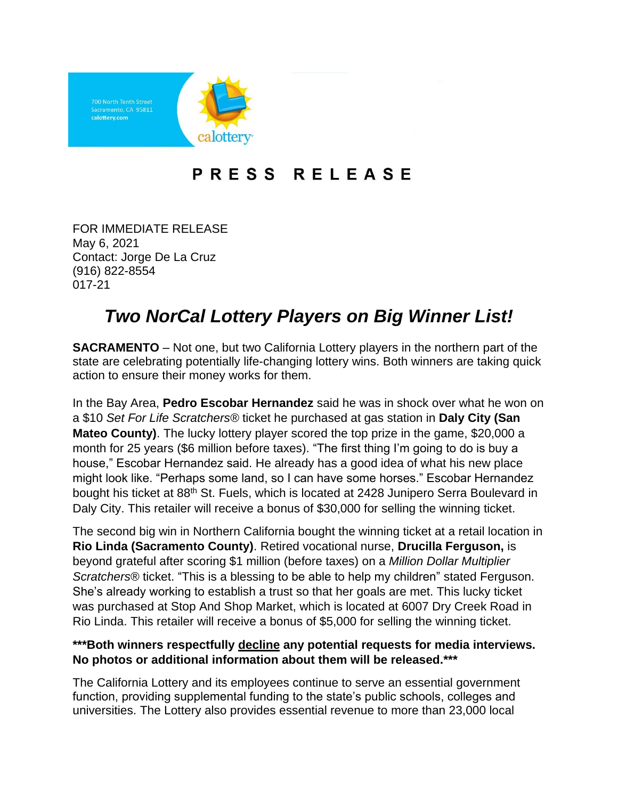

## PRESS RELEASE

FOR IMMEDIATE RELEASE May 6, 2021 Contact: Jorge De La Cruz (916) 822-8554 017-21

## *Two NorCal Lottery Players on Big Winner List!*

**SACRAMENTO** – Not one, but two California Lottery players in the northern part of the state are celebrating potentially life-changing lottery wins. Both winners are taking quick action to ensure their money works for them.

In the Bay Area, **Pedro Escobar Hernandez** said he was in shock over what he won on a \$10 *Set For Life Scratchers®* ticket he purchased at gas station in **Daly City (San Mateo County)**. The lucky lottery player scored the top prize in the game, \$20,000 a month for 25 years (\$6 million before taxes). "The first thing I'm going to do is buy a house," Escobar Hernandez said. He already has a good idea of what his new place might look like. "Perhaps some land, so I can have some horses." Escobar Hernandez bought his ticket at 88<sup>th</sup> St. Fuels, which is located at 2428 Junipero Serra Boulevard in Daly City. This retailer will receive a bonus of \$30,000 for selling the winning ticket.

The second big win in Northern California bought the winning ticket at a retail location in **Rio Linda (Sacramento County)**. Retired vocational nurse, **Drucilla Ferguson,** is beyond grateful after scoring \$1 million (before taxes) on a *Million Dollar Multiplier Scratchers*® ticket. "This is a blessing to be able to help my children" stated Ferguson. She's already working to establish a trust so that her goals are met. This lucky ticket was purchased at Stop And Shop Market, which is located at 6007 Dry Creek Road in Rio Linda. This retailer will receive a bonus of \$5,000 for selling the winning ticket.

## **\*\*\*Both winners respectfully decline any potential requests for media interviews. No photos or additional information about them will be released.\*\*\***

The California Lottery and its employees continue to serve an essential government function, providing supplemental funding to the state's public schools, colleges and universities. The Lottery also provides essential revenue to more than 23,000 local